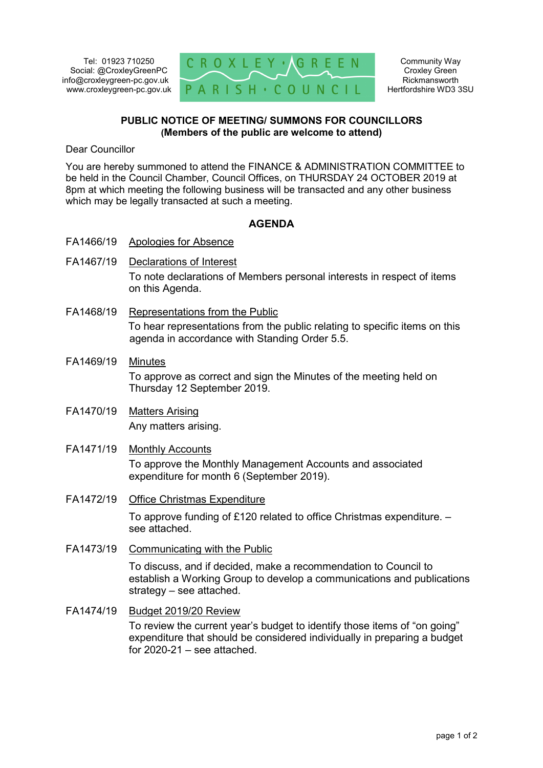Tel: 01923 710250 Social: @CroxleyGreenPC info@croxleygreen-pc.gov.uk www.croxleygreen-pc.gov.uk



## **PUBLIC NOTICE OF MEETING/ SUMMONS FOR COUNCILLORS (Members of the public are welcome to attend)**

Dear Councillor

You are hereby summoned to attend the FINANCE & ADMINISTRATION COMMITTEE to be held in the Council Chamber, Council Offices, on THURSDAY 24 OCTOBER 2019 at 8pm at which meeting the following business will be transacted and any other business which may be legally transacted at such a meeting.

## **AGENDA**

- FA1466/19 Apologies for Absence
- FA1467/19 Declarations of Interest To note declarations of Members personal interests in respect of items on this Agenda.
- FA1468/19 Representations from the Public To hear representations from the public relating to specific items on this agenda in accordance with Standing Order 5.5.
- FA1469/19 Minutes To approve as correct and sign the Minutes of the meeting held on Thursday 12 September 2019.
- FA1470/19 Matters Arising Any matters arising.
- FA1471/19 Monthly Accounts To approve the Monthly Management Accounts and associated expenditure for month 6 (September 2019).
- FA1472/19 Office Christmas Expenditure

To approve funding of £120 related to office Christmas expenditure. – see attached.

FA1473/19 Communicating with the Public

To discuss, and if decided, make a recommendation to Council to establish a Working Group to develop a communications and publications strategy – see attached.

FA1474/19 Budget 2019/20 Review To review the current year's budget to identify those items of "on going" expenditure that should be considered individually in preparing a budget for  $2020-21$  – see attached.